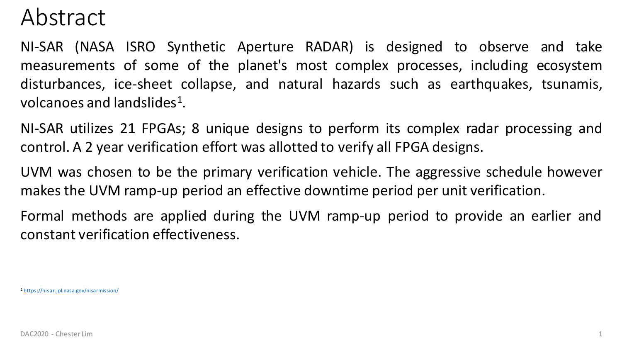### Abstract

NI-SAR (NASA ISRO Synthetic Aperture RADAR) is designed to observe and take measurements of some of the planet's most complex processes, including ecosystem disturbances, ice-sheet collapse, and natural hazards such as earthquakes, tsunamis, volcanoes and landslides<sup>1</sup>.

NI-SAR utilizes 21 FPGAs; 8 unique designs to perform its complex radar processing and control. A 2 year verification effort was allotted to verify all FPGA designs.

UVM was chosen to be the primary verification vehicle. The aggressive schedule however makes the UVM ramp-up period an effective downtime period per unit verification.

Formal methods are applied during the UVM ramp-up period to provide an earlier and constant verification effectiveness.

<sup>1</sup> <https://nisar.jpl.nasa.gov/nisarmission/>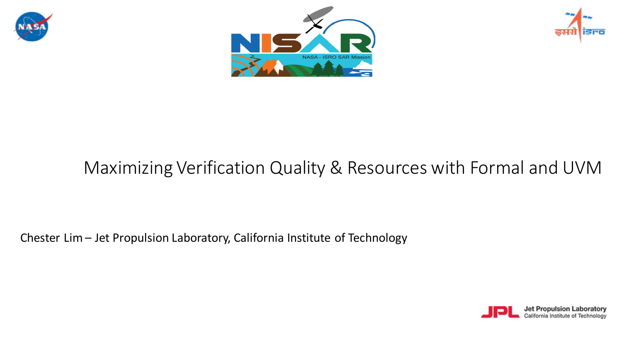





### Maximizing Verification Quality & Resources with Formal and UVM

Chester Lim – Jet Propulsion Laboratory, California Institute of Technology

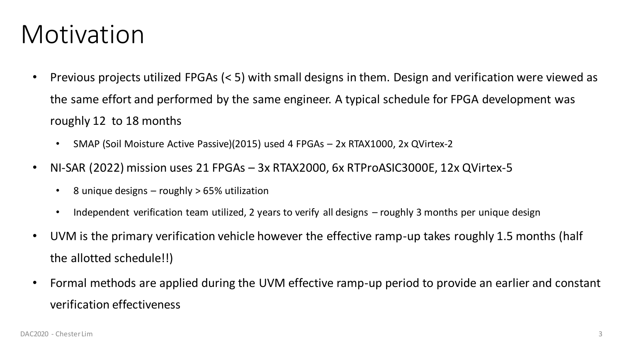### Motivation

- Previous projects utilized FPGAs (< 5) with small designs in them. Design and verification were viewed as the same effort and performed by the same engineer. A typical schedule for FPGA development was roughly 12 to 18 months
	- SMAP (Soil Moisture Active Passive)(2015) used 4 FPGAs 2x RTAX1000, 2x QVirtex-2
- NI-SAR (2022) mission uses 21 FPGAs 3x RTAX2000, 6x RTProASIC3000E, 12x QVirtex-5
	- 8 unique designs roughly > 65% utilization
	- Independent verification team utilized, 2 years to verify all designs roughly 3 months per unique design
- UVM is the primary verification vehicle however the effective ramp-up takes roughly 1.5 months (half the allotted schedule!!)
- Formal methods are applied during the UVM effective ramp-up period to provide an earlier and constant verification effectiveness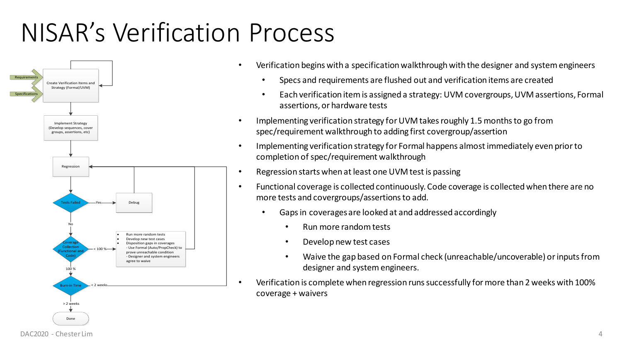## NISAR's Verification Process



- Verification begins with a specification walkthrough with the designer and system engineers
	- Specs and requirements are flushed out and verification items are created
	- Each verification item is assigned a strategy: UVM covergroups, UVM assertions, Formal assertions, or hardware tests
- Implementing verification strategy for UVM takes roughly 1.5 months to go from spec/requirement walkthrough to adding first covergroup/assertion
- Implementing verification strategy for Formal happens almost immediately even prior to completion of spec/requirement walkthrough
- Regression starts when at least one UVM test is passing
- Functional coverage is collected continuously. Code coverage is collected when there are no more tests and covergroups/assertions to add.
	- Gaps in coverages are looked at and addressed accordingly
		- Run more random tests
		- Develop new test cases
		- Waive the gap based on Formal check (unreachable/uncoverable) or inputs from designer and system engineers.
- Verification is complete when regression runs successfully for more than 2 weeks with 100% coverage + waivers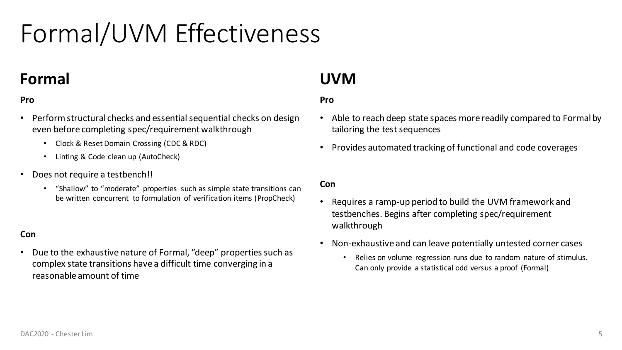# Formal/UVM Effectiveness

### **Formal**

#### **Pro**

- Perform structural checks and essential sequential checks on design even before completing spec/requirement walkthrough
	- Clock & Reset Domain Crossing (CDC & RDC)
	- Linting & Code clean up (AutoCheck)
- Does not require a testbench!!
	- "Shallow" to "moderate" properties such as simple state transitions can be written concurrent to formulation of verification items (PropCheck)

#### **Con**

• Due to the exhaustive nature of Formal, "deep" properties such as complex state transitions have a difficult time converging in a reasonable amount of time

### **UVM**

#### **Pro**

- Able to reach deep state spaces more readily compared to Formal by tailoring the test sequences
- Provides automated tracking of functional and code coverages

#### **Con**

- Requires a ramp-up period to build the UVM framework and testbenches. Begins after completing spec/requirement walkthrough
- Non-exhaustive and can leave potentially untested corner cases
	- Relies on volume regression runs due to random nature of stimulus. Can only provide a statistical odd versus a proof (Formal)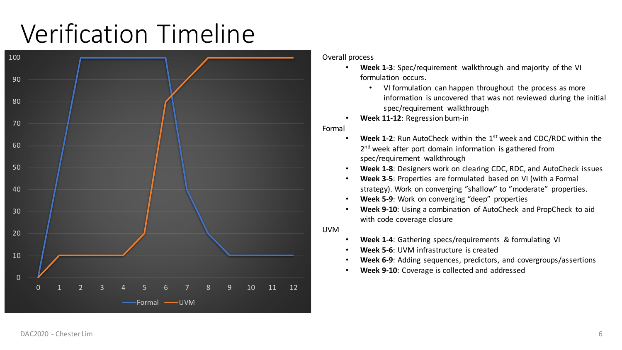## Verification Timeline



Overall process

- **Week 1-3**: Spec/requirement walkthrough and majority of the VI formulation occurs.
	- VI formulation can happen throughout the process as more information is uncovered that was not reviewed during the initial spec/requirement walkthrough
- **Week 11-12**: Regression burn-in

Formal

- **Week 1-2**: Run AutoCheck within the 1st week and CDC/RDC within the 2<sup>nd</sup> week after port domain information is gathered from spec/requirement walkthrough
- **Week 1-8**: Designers work on clearing CDC, RDC, and AutoCheck issues
- **Week 3-5**: Properties are formulated based on VI (with a Formal strategy). Work on converging "shallow" to "moderate" properties.
- **Week 5-9**: Work on converging "deep" properties
- **Week 9-10**: Using a combination of AutoCheck and PropCheck to aid with code coverage closure

UVM

- **Week 1-4**: Gathering specs/requirements & formulating VI
- **Week 5-6**: UVM infrastructure is created
- **Week 6-9**: Adding sequences, predictors, and covergroups/assertions
- **Week 9-10**: Coverage is collected and addressed